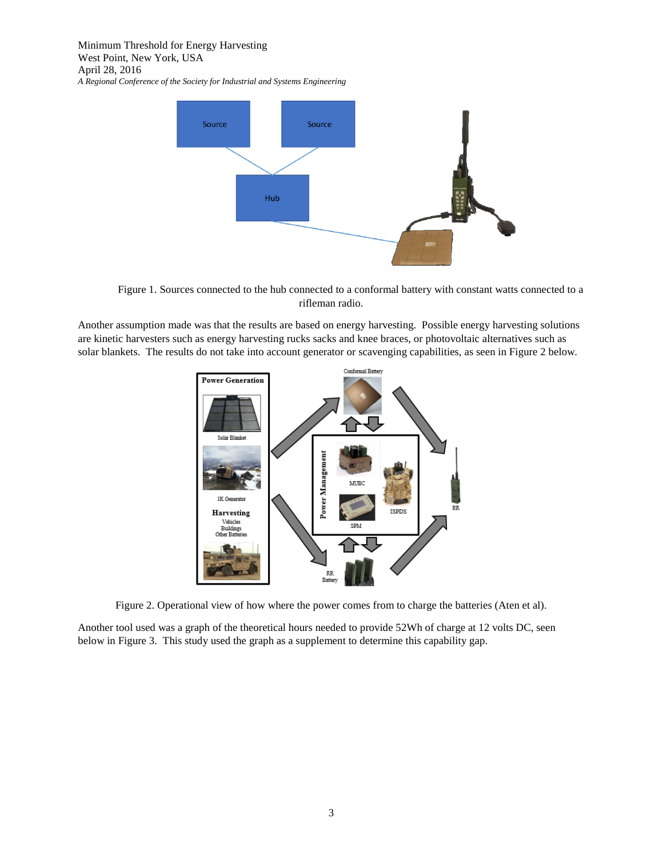

Figure 1. Sources connected to the hub connected to a conformal battery with constant watts connected to a rifleman radio.

Another assumption made was that the results are based on energy harvesting. Possible energy harvesting solutions are kinetic harvesters such as energy harvesting rucks sacks and knee braces, or photovoltaic alternatives such as solar blankets. The results do not take into account generator or scavenging capabilities, as seen in Figure 2 below.



Figure 2. Operational view of how where the power comes from to charge the batteries (Aten et al).

Another tool used was a graph of the theoretical hours needed to provide 52Wh of charge at 12 volts DC, seen below in Figure 3. This study used the graph as a supplement to determine this capability gap.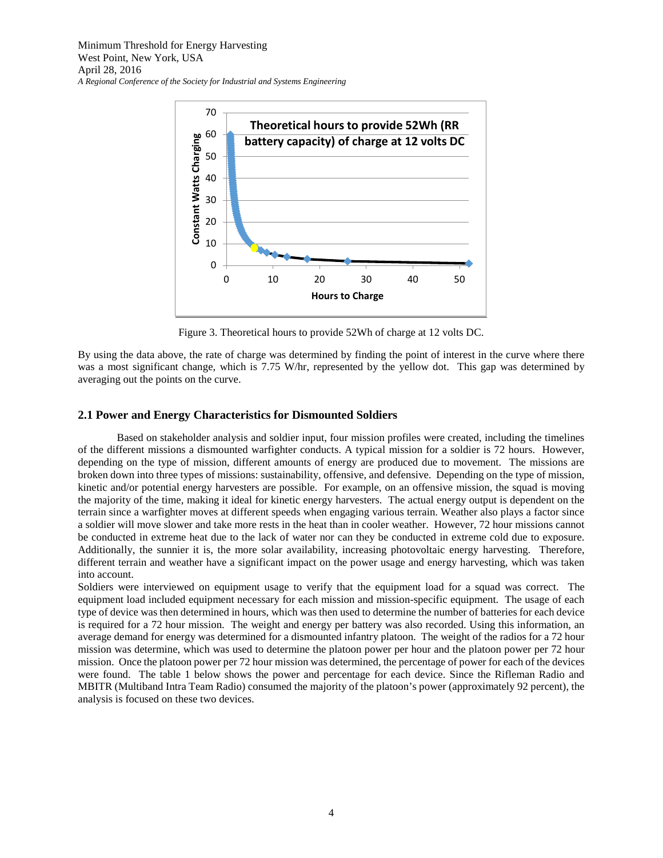

Figure 3. Theoretical hours to provide 52Wh of charge at 12 volts DC.

By using the data above, the rate of charge was determined by finding the point of interest in the curve where there was a most significant change, which is 7.75 W/hr, represented by the yellow dot. This gap was determined by averaging out the points on the curve.

# **2.1 Power and Energy Characteristics for Dismounted Soldiers**

Based on stakeholder analysis and soldier input, four mission profiles were created, including the timelines of the different missions a dismounted warfighter conducts. A typical mission for a soldier is 72 hours. However, depending on the type of mission, different amounts of energy are produced due to movement. The missions are broken down into three types of missions: sustainability, offensive, and defensive. Depending on the type of mission, kinetic and/or potential energy harvesters are possible. For example, on an offensive mission, the squad is moving the majority of the time, making it ideal for kinetic energy harvesters. The actual energy output is dependent on the terrain since a warfighter moves at different speeds when engaging various terrain. Weather also plays a factor since a soldier will move slower and take more rests in the heat than in cooler weather. However, 72 hour missions cannot be conducted in extreme heat due to the lack of water nor can they be conducted in extreme cold due to exposure. Additionally, the sunnier it is, the more solar availability, increasing photovoltaic energy harvesting. Therefore, different terrain and weather have a significant impact on the power usage and energy harvesting, which was taken into account.

Soldiers were interviewed on equipment usage to verify that the equipment load for a squad was correct. The equipment load included equipment necessary for each mission and mission-specific equipment. The usage of each type of device was then determined in hours, which was then used to determine the number of batteries for each device is required for a 72 hour mission. The weight and energy per battery was also recorded. Using this information, an average demand for energy was determined for a dismounted infantry platoon. The weight of the radios for a 72 hour mission was determine, which was used to determine the platoon power per hour and the platoon power per 72 hour mission. Once the platoon power per 72 hour mission was determined, the percentage of power for each of the devices were found. The table 1 below shows the power and percentage for each device. Since the Rifleman Radio and MBITR (Multiband Intra Team Radio) consumed the majority of the platoon's power (approximately 92 percent), the analysis is focused on these two devices.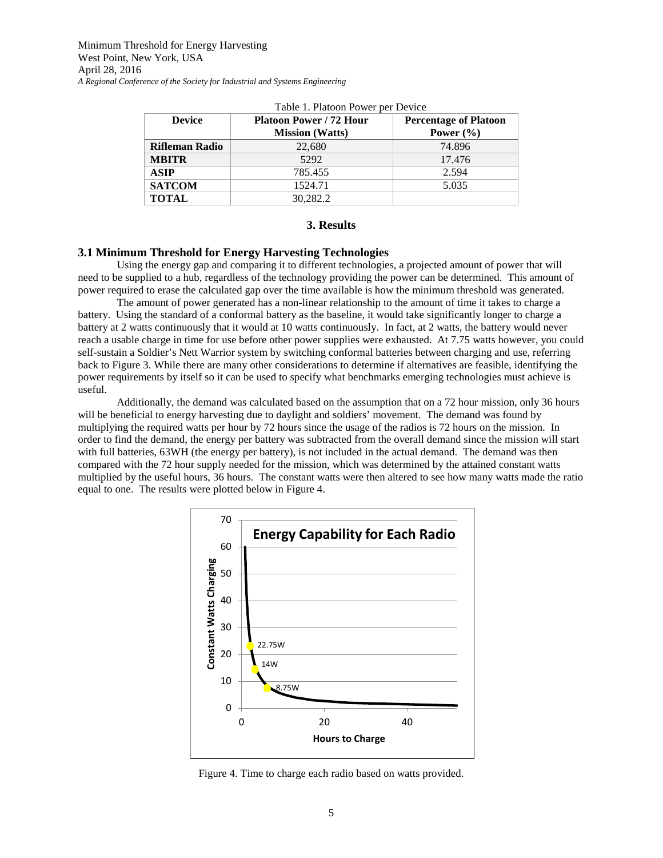| Table 1. I fatour I owell per Device |                                |                              |  |  |
|--------------------------------------|--------------------------------|------------------------------|--|--|
| <b>Device</b>                        | <b>Platoon Power / 72 Hour</b> | <b>Percentage of Platoon</b> |  |  |
|                                      | <b>Mission</b> (Watts)         | Power $(\% )$                |  |  |
| Rifleman Radio                       | 22,680                         | 74.896                       |  |  |
| <b>MBITR</b>                         | 5292                           | 17.476                       |  |  |
| <b>ASIP</b>                          | 785.455                        | 2.594                        |  |  |
| <b>SATCOM</b>                        | 1524.71                        | 5.035                        |  |  |
| <b>TOTAL</b>                         | 30,282.2                       |                              |  |  |

Table 1. Platoon Power per Device

#### **3. Results**

## **3.1 Minimum Threshold for Energy Harvesting Technologies**

Using the energy gap and comparing it to different technologies, a projected amount of power that will need to be supplied to a hub, regardless of the technology providing the power can be determined. This amount of power required to erase the calculated gap over the time available is how the minimum threshold was generated.

The amount of power generated has a non-linear relationship to the amount of time it takes to charge a battery. Using the standard of a conformal battery as the baseline, it would take significantly longer to charge a battery at 2 watts continuously that it would at 10 watts continuously. In fact, at 2 watts, the battery would never reach a usable charge in time for use before other power supplies were exhausted. At 7.75 watts however, you could self-sustain a Soldier's Nett Warrior system by switching conformal batteries between charging and use, referring back to Figure 3. While there are many other considerations to determine if alternatives are feasible, identifying the power requirements by itself so it can be used to specify what benchmarks emerging technologies must achieve is useful.

Additionally, the demand was calculated based on the assumption that on a 72 hour mission, only 36 hours will be beneficial to energy harvesting due to daylight and soldiers' movement. The demand was found by multiplying the required watts per hour by 72 hours since the usage of the radios is 72 hours on the mission. In order to find the demand, the energy per battery was subtracted from the overall demand since the mission will start with full batteries, 63WH (the energy per battery), is not included in the actual demand. The demand was then compared with the 72 hour supply needed for the mission, which was determined by the attained constant watts multiplied by the useful hours, 36 hours. The constant watts were then altered to see how many watts made the ratio equal to one. The results were plotted below in Figure 4.



Figure 4. Time to charge each radio based on watts provided.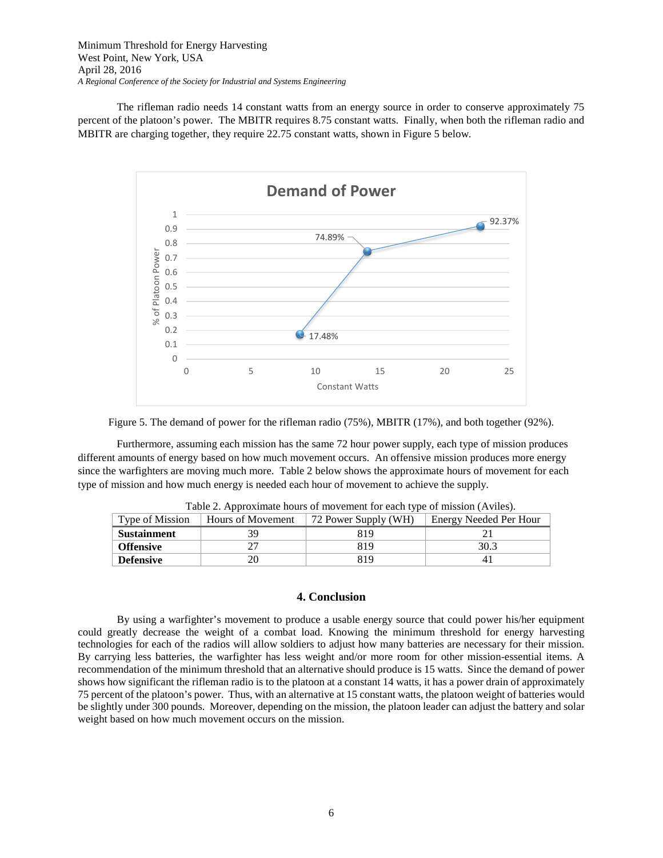The rifleman radio needs 14 constant watts from an energy source in order to conserve approximately 75 percent of the platoon's power. The MBITR requires 8.75 constant watts. Finally, when both the rifleman radio and MBITR are charging together, they require 22.75 constant watts, shown in Figure 5 below.





Furthermore, assuming each mission has the same 72 hour power supply, each type of mission produces different amounts of energy based on how much movement occurs. An offensive mission produces more energy since the warfighters are moving much more. Table 2 below shows the approximate hours of movement for each type of mission and how much energy is needed each hour of movement to achieve the supply.

| Type of Mission    | Hours of Movement | 72 Power Supply (WH) | Energy Needed Per Hour |
|--------------------|-------------------|----------------------|------------------------|
| <b>Sustainment</b> | 39                | 819                  |                        |
| <b>Offensive</b>   |                   | 819                  | 30.3                   |
| <b>Defensive</b>   |                   | 819                  |                        |

Table 2. Approximate hours of movement for each type of mission (Aviles).

## **4. Conclusion**

By using a warfighter's movement to produce a usable energy source that could power his/her equipment could greatly decrease the weight of a combat load. Knowing the minimum threshold for energy harvesting technologies for each of the radios will allow soldiers to adjust how many batteries are necessary for their mission. By carrying less batteries, the warfighter has less weight and/or more room for other mission-essential items. A recommendation of the minimum threshold that an alternative should produce is 15 watts. Since the demand of power shows how significant the rifleman radio is to the platoon at a constant 14 watts, it has a power drain of approximately 75 percent of the platoon's power. Thus, with an alternative at 15 constant watts, the platoon weight of batteries would be slightly under 300 pounds. Moreover, depending on the mission, the platoon leader can adjust the battery and solar weight based on how much movement occurs on the mission.